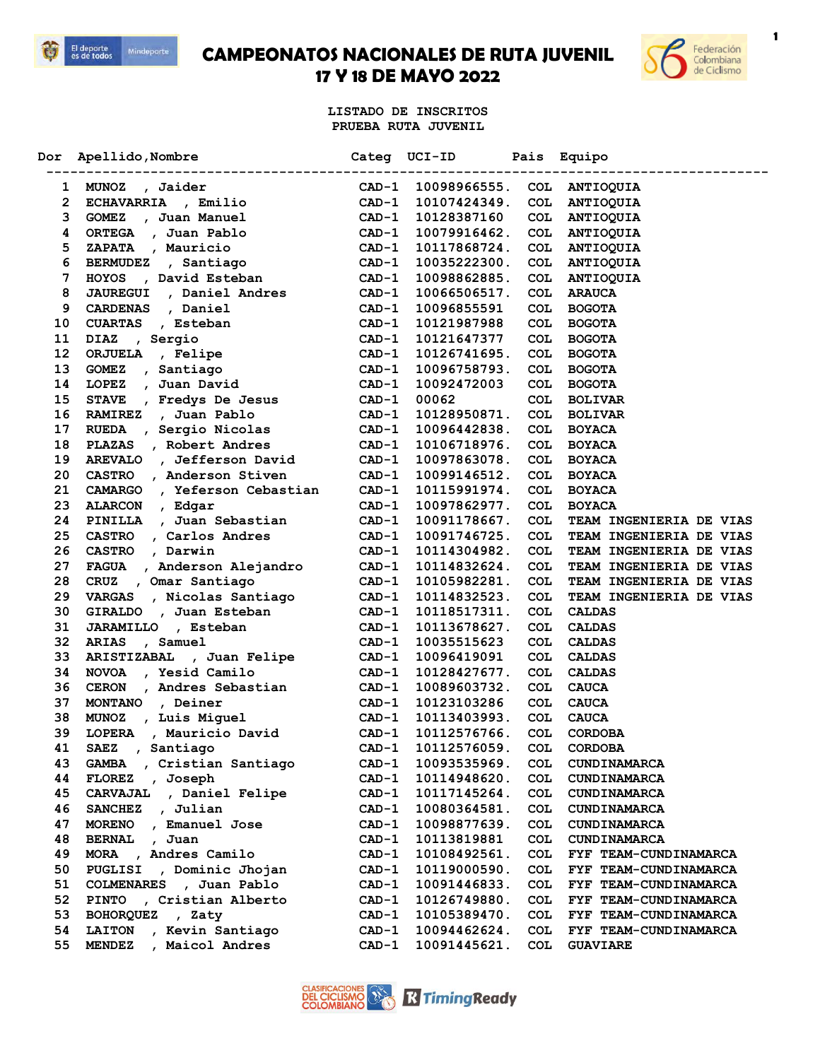



**1**

**LISTADO DE INSCRITOS PRUEBA RUTA JUVENIL**

| Dor | Apellido, Nombre                           | Categ<br>--------------- | UCI-ID       | Pais       | Equipo                  |
|-----|--------------------------------------------|--------------------------|--------------|------------|-------------------------|
| 1   | <b>MUNOZ</b><br>, Jaider                   | $CAD-1$                  | 10098966555. | COL        | <b>ANTIOQUIA</b>        |
| 2   | <b>ECHAVARRIA</b><br>, Emilio              | $CAD-1$                  | 10107424349. | COL        | ANTIOQUIA               |
| 3   | , Juan Manuel<br><b>GOMEZ</b>              | $CAD-1$                  | 10128387160  | <b>COL</b> | <b>ANTIOQUIA</b>        |
| 4   | <b>ORTEGA</b><br>, Juan Pablo              | $CAD-1$                  | 10079916462. | <b>COL</b> | <b>ANTIOOUIA</b>        |
| 5   | , Mauricio<br><b>ZAPATA</b>                | $CAD-1$                  | 10117868724. | COL        | <b>ANTIOQUIA</b>        |
| 6   | , Santiago<br><b>BERMUDEZ</b>              | $CAD-1$                  | 10035222300. | <b>COL</b> | <b>ANTIOQUIA</b>        |
| 7   | , David Esteban<br><b>HOYOS</b>            | $CAD-1$                  | 10098862885. | COL        | <b>ANTIOQUIA</b>        |
| 8   | , Daniel Andres<br><b>JAUREGUI</b>         | $CAD-1$                  | 10066506517. | <b>COL</b> | <b>ARAUCA</b>           |
| 9   | , Daniel<br><b>CARDENAS</b>                | $CAD-1$                  | 10096855591  | COL        | <b>BOGOTA</b>           |
| 10  | <b>CUARTAS</b><br>, Esteban                | $CAD-1$                  | 10121987988  | <b>COL</b> | <b>BOGOTA</b>           |
| 11  | <b>DIAZ</b><br>, Sergio                    | $CAD-1$                  | 10121647377  | COL        | <b>BOGOTA</b>           |
| 12  | <b>ORJUELA</b><br>, Felipe                 | CAD-1                    | 10126741695. | COL        | <b>BOGOTA</b>           |
| 13  | <b>GOMEZ</b><br>, Santiago                 | $CAD-1$                  | 10096758793. | <b>COL</b> | <b>BOGOTA</b>           |
| 14  | Juan David<br><b>LOPEZ</b><br>$\mathbf{r}$ | $CAD-1$                  | 10092472003  | <b>COL</b> | <b>BOGOTA</b>           |
| 15  | <b>STAVE</b><br>, Fredys De Jesus          | $CAD-1$                  | 00062        | <b>COL</b> | <b>BOLIVAR</b>          |
| 16  | , Juan Pablo<br><b>RAMIREZ</b>             | $CAD-1$                  | 10128950871. | <b>COL</b> | <b>BOLIVAR</b>          |
| 17  | <b>RUEDA</b><br>Sergio Nicolas<br>$\sim$   | $CAD-1$                  | 10096442838. | <b>COL</b> | <b>BOYACA</b>           |
| 18  | <b>PLAZAS</b><br>, Robert Andres           | $CAD-1$                  | 10106718976. | <b>COL</b> | <b>BOYACA</b>           |
| 19  | <b>AREVALO</b><br>, Jefferson David        | $CAD-1$                  | 10097863078. | <b>COL</b> | <b>BOYACA</b>           |
| 20  | <b>CASTRO</b><br>, Anderson Stiven         | $CAD-1$                  | 10099146512. | <b>COL</b> | <b>BOYACA</b>           |
| 21  | , Yeferson Cebastian<br><b>CAMARGO</b>     | $CAD-1$                  | 10115991974. | <b>COL</b> | <b>BOYACA</b>           |
| 23  | <b>ALARCON</b><br>, Edgar                  | CAD-1                    | 10097862977. | <b>COL</b> | <b>BOYACA</b>           |
| 24  | , Juan Sebastian<br>PINILLA                | CAD-1                    | 10091178667. | <b>COL</b> | TEAM INGENIERIA DE VIAS |
| 25  | <b>CASTRO</b><br>, Carlos Andres           | $CAD-1$                  | 10091746725. | <b>COL</b> | TEAM INGENIERIA DE VIAS |
| 26  | <b>CASTRO</b><br>, Darwin                  | CAD-1                    | 10114304982. | COL        | TEAM INGENIERIA DE VIAS |
| 27  | FAGUA , Anderson Alejandro                 | CAD-1                    | 10114832624. | <b>COL</b> | TEAM INGENIERIA DE VIAS |
| 28  | CRUZ , Omar Santiago                       | $CAD-1$                  | 10105982281. | <b>COL</b> | TEAM INGENIERIA DE VIAS |
| 29  | , Nicolas Santiago<br><b>VARGAS</b>        | $CAD-1$                  | 10114832523. | <b>COL</b> | TEAM INGENIERIA DE VIAS |
| 30  | , Juan Esteban<br><b>GIRALDO</b>           | $CAD-1$                  | 10118517311. | COL        | <b>CALDAS</b>           |
| 31  | <b>JARAMILLO</b><br>, Esteban              | CAD-1                    | 10113678627. | COL        | <b>CALDAS</b>           |
| 32  | <b>ARIAS</b><br>, Samuel                   | $CAD-1$                  | 10035515623  | <b>COL</b> | <b>CALDAS</b>           |
| 33  | ARISTIZABAL<br>, Juan Felipe               | $CAD-1$                  | 10096419091  | <b>COL</b> | <b>CALDAS</b>           |
| 34  | , Yesid Camilo<br><b>NOVOA</b>             | $CAD-1$                  | 10128427677. | <b>COL</b> | <b>CALDAS</b>           |
| 36  | <b>CERON</b><br>, Andres Sebastian         | $CAD-1$                  | 10089603732. | <b>COL</b> | <b>CAUCA</b>            |
| 37  | , Deiner<br><b>MONTANO</b>                 | $CAD-1$                  | 10123103286  | <b>COL</b> | <b>CAUCA</b>            |
| 38  | , Luis Miguel<br><b>MUNOZ</b>              | $CAD-1$                  | 10113403993. | <b>COL</b> | <b>CAUCA</b>            |
| 39  | <b>LOPERA</b><br>, Mauricio David          | $CAD-1$                  | 10112576766. | <b>COL</b> | <b>CORDOBA</b>          |
| 41  | SAEZ , Santiago                            | $CAD-1$                  | 10112576059. | COL        | <b>CORDOBA</b>          |
| 43  | , Cristian Santiago<br>GAMBA               | CAD-1                    | 10093535969. | COL        | <b>CUNDINAMARCA</b>     |
| 44  | , Joseph<br><b>FLOREZ</b>                  | $CAD-1$                  | 10114948620. | <b>COL</b> | <b>CUNDINAMARCA</b>     |
| 45  | CARVAJAL , Daniel Felipe                   | CAD-1                    | 10117145264. | <b>COL</b> | <b>CUNDINAMARCA</b>     |
| 46  | SANCHEZ , Julian                           | $CAD-1$                  | 10080364581. | <b>COL</b> | <b>CUNDINAMARCA</b>     |
| 47  | <b>MORENO</b><br>, Emanuel Jose            | $CAD-1$                  | 10098877639. | COL        | <b>CUNDINAMARCA</b>     |
| 48  | <b>BERNAL</b><br>, Juan                    | $CAD-1$                  | 10113819881  | COL        | <b>CUNDINAMARCA</b>     |
| 49  | MORA , Andres Camilo                       | $CAD-1$                  | 10108492561. | <b>COL</b> | FYF TEAM-CUNDINAMARCA   |
| 50  | , Dominic Jhojan<br>PUGLISI                | $CAD-1$                  | 10119000590. | <b>COL</b> | FYF TEAM-CUNDINAMARCA   |
| 51  | COLMENARES , Juan Pablo                    | CAD-1                    | 10091446833. | <b>COL</b> | FYF TEAM-CUNDINAMARCA   |
| 52  | , Cristian Alberto<br><b>PINTO</b>         | CAD-1                    | 10126749880. | <b>COL</b> | FYF TEAM-CUNDINAMARCA   |
| 53  | BOHORQUEZ , Zaty                           | CAD-1                    | 10105389470. | <b>COL</b> | FYF TEAM-CUNDINAMARCA   |
| 54  | , Kevin Santiago<br><b>LAITON</b>          | CAD-1                    | 10094462624. | <b>COL</b> | FYF TEAM-CUNDINAMARCA   |
| 55  | , Maicol Andres<br><b>MENDEZ</b>           | $CAD-1$                  | 10091445621. | <b>COL</b> | <b>GUAVIARE</b>         |
|     |                                            |                          |              |            |                         |

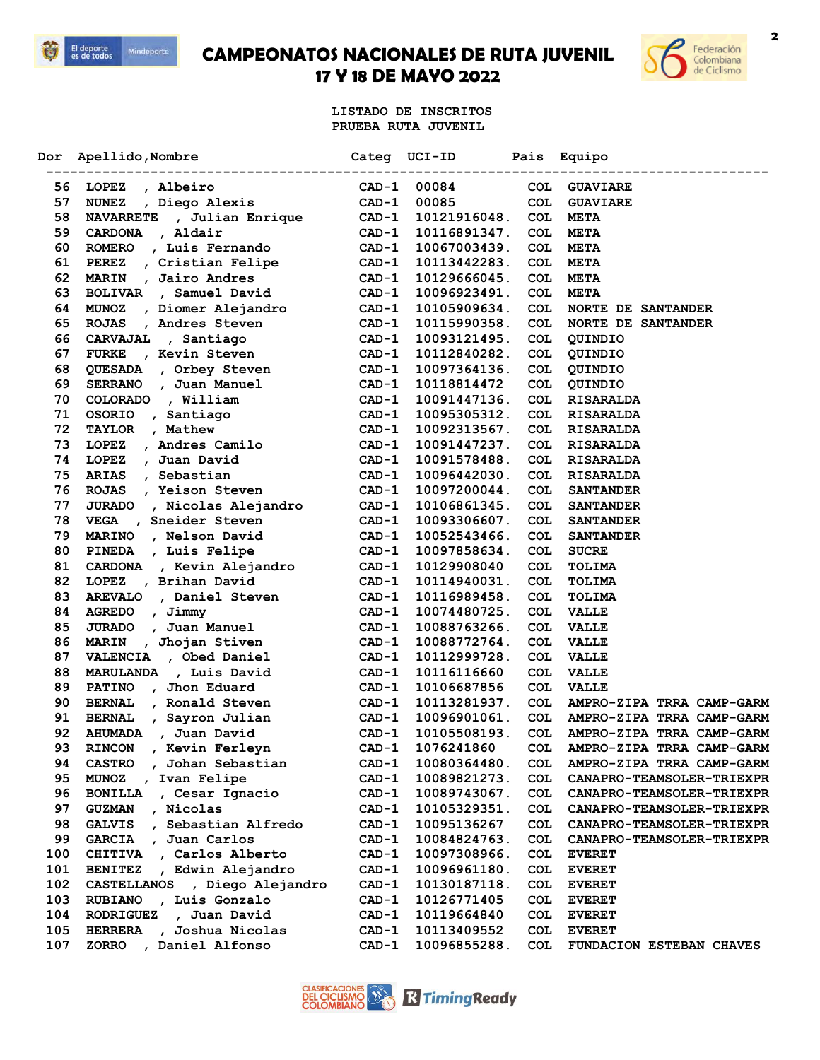



**LISTADO DE INSCRITOS PRUEBA RUTA JUVENIL**

| Dor | Apellido, Nombre                             | Categ   | UCI-ID       | Pais       | Equipo                                                     |
|-----|----------------------------------------------|---------|--------------|------------|------------------------------------------------------------|
| 56  | LOPEZ<br>, Albeiro                           | $CAD-1$ | 00084        | COL        | <b>GUAVIARE</b>                                            |
| 57  | , Diego Alexis<br><b>NUNEZ</b>               | $CAD-1$ | 00085        | COL        | <b>GUAVIARE</b>                                            |
| 58  | <b>NAVARRETE</b><br>, Julian Enrique         | $CAD-1$ | 10121916048. | <b>COL</b> | <b>META</b>                                                |
| 59  | , Aldair<br><b>CARDONA</b>                   | $CAD-1$ | 10116891347. | COL        | <b>META</b>                                                |
| 60  | , Luis Fernando<br><b>ROMERO</b>             | $CAD-1$ | 10067003439. | <b>COL</b> | <b>META</b>                                                |
| 61  | , Cristian Felipe<br><b>PEREZ</b>            | CAD-1   | 10113442283. | <b>COL</b> | <b>META</b>                                                |
| 62  | Jairo Andres<br><b>MARIN</b><br>$\mathbf{r}$ | $CAD-1$ | 10129666045. | <b>COL</b> | <b>META</b>                                                |
| 63  | , Samuel David<br><b>BOLIVAR</b>             | $CAD-1$ | 10096923491. | <b>COL</b> | <b>META</b>                                                |
| 64  | , Diomer Alejandro<br><b>MUNOZ</b>           | $CAD-1$ | 10105909634. | <b>COL</b> | <b>NORTE DE SANTANDER</b>                                  |
| 65  | <b>ROJAS</b><br>, Andres Steven              | $CAD-1$ | 10115990358. | <b>COL</b> | <b>NORTE DE SANTANDER</b>                                  |
| 66  | <b>CARVAJAL</b><br>, Santiago                | CAD-1   | 10093121495. | COL        | QUINDIO                                                    |
| 67  | , Kevin Steven<br><b>FURKE</b>               | $CAD-1$ | 10112840282. | COL        | QUINDIO                                                    |
| 68  | , Orbey Steven<br>QUESADA                    | $CAD-1$ | 10097364136. | COL        | QUINDIO                                                    |
| 69  | <b>SERRANO</b><br>, Juan Manuel              | $CAD-1$ | 10118814472  | COL        | QUINDIO                                                    |
| 70  | , William<br><b>COLORADO</b>                 | $CAD-1$ | 10091447136. | COL        | <b>RISARALDA</b>                                           |
| 71  | <b>OSORIO</b><br>Santiago                    | $CAD-1$ | 10095305312. | COL        | <b>RISARALDA</b>                                           |
| 72  | , Mathew<br><b>TAYLOR</b>                    | $CAD-1$ | 10092313567. | <b>COL</b> | <b>RISARALDA</b>                                           |
| 73  | LOPEZ<br>, Andres Camilo                     | $CAD-1$ | 10091447237. | <b>COL</b> | <b>RISARALDA</b>                                           |
| 74  | LOPEZ<br>, Juan David                        | $CAD-1$ | 10091578488. | <b>COL</b> | <b>RISARALDA</b>                                           |
| 75  | , Sebastian<br><b>ARIAS</b>                  | $CAD-1$ | 10096442030. | <b>COL</b> | <b>RISARALDA</b>                                           |
| 76  | , Yeison Steven<br><b>ROJAS</b>              | $CAD-1$ | 10097200044. | COL        | <b>SANTANDER</b>                                           |
| 77  | <b>JURADO</b><br>, Nicolas Alejandro         | CAD-1   | 10106861345. | COL        | <b>SANTANDER</b>                                           |
| 78  | VEGA , Sneider Steven                        | $CAD-1$ | 10093306607. | <b>COL</b> | <b>SANTANDER</b>                                           |
| 79  | , Nelson David<br><b>MARINO</b>              | $CAD-1$ | 10052543466. | <b>COL</b> | <b>SANTANDER</b>                                           |
| 80  | , Luis Felipe<br><b>PINEDA</b>               | CAD-1   | 10097858634. | COL        | <b>SUCRE</b>                                               |
| 81  | , Kevin Alejandro<br><b>CARDONA</b>          | $CAD-1$ | 10129908040  | COL        | TOLIMA                                                     |
| 82  | , Brihan David<br>LOPEZ                      | $CAD-1$ | 10114940031. | COL        | TOLIMA                                                     |
| 83  | <b>AREVALO</b><br>, Daniel Steven            | $CAD-1$ | 10116989458. | <b>COL</b> | TOLIMA                                                     |
| 84  | , Jimmy<br><b>AGREDO</b>                     | CAD-1   | 10074480725. | COL        | <b>VALLE</b>                                               |
| 85  | , Juan Manuel<br><b>JURADO</b>               | $CAD-1$ | 10088763266. | COL        | <b>VALLE</b>                                               |
| 86  | , Jhojan Stiven<br><b>MARIN</b>              | $CAD-1$ | 10088772764. | COL        | <b>VALLE</b>                                               |
| 87  | , Obed Daniel<br><b>VALENCIA</b>             | $CAD-1$ | 10112999728. | COL        | <b>VALLE</b>                                               |
| 88  | , Luis David<br>MARULANDA                    | CAD-1   | 10116116660  | COL        | <b>VALLE</b>                                               |
| 89  | Jhon Eduard<br><b>PATINO</b>                 | $CAD-1$ | 10106687856  | <b>COL</b> | <b>VALLE</b>                                               |
| 90  | <b>BERNAL</b><br>, Ronald Steven             | $CAD-1$ | 10113281937. | <b>COL</b> | AMPRO-ZIPA TRRA CAMP-GARM                                  |
| 91  | <b>BERNAL</b><br>, Sayron Julian             | $CAD-1$ | 10096901061. | COL        | AMPRO-ZIPA TRRA CAMP-GARM                                  |
| 92  | , Juan David<br><b>AHUMADA</b>               | $CAD-1$ | 10105508193. | COL        | AMPRO-ZIPA TRRA CAMP-GARM                                  |
| 93  |                                              |         |              |            |                                                            |
|     | RINCON , Kevin Ferleyn                       | $CAD-1$ | 1076241860   |            | COL AMPRO-ZIPA TRRA CAMP-GARM<br>AMPRO-ZIPA TRRA CAMP-GARM |
| 94  | <b>CASTRO</b><br>, Johan Sebastian           | CAD-1   | 10080364480. | COL        |                                                            |
| 95  | MUNOZ , Ivan Felipe                          | $CAD-1$ | 10089821273. | COL        | CANAPRO-TEAMSOLER-TRIEXPR                                  |
| 96  | , Cesar Ignacio<br><b>BONILLA</b>            | CAD-1   | 10089743067. | COL        | CANAPRO-TEAMSOLER-TRIEXPR                                  |
| 97  | , Nicolas<br><b>GUZMAN</b>                   | CAD-1   | 10105329351. | <b>COL</b> | CANAPRO-TEAMSOLER-TRIEXPR                                  |
| 98  | , Sebastian Alfredo<br><b>GALVIS</b>         | $CAD-1$ | 10095136267  | COL        | <b>CANAPRO-TEAMSOLER-TRIEXPR</b>                           |
| 99  | <b>GARCIA</b><br>, Juan Carlos               | $CAD-1$ | 10084824763. | <b>COL</b> | CANAPRO-TEAMSOLER-TRIEXPR                                  |
| 100 | CHITIVA , Carlos Alberto                     | $CAD-1$ | 10097308966. | <b>COL</b> | <b>EVERET</b>                                              |
| 101 | , Edwin Alejandro<br><b>BENITEZ</b>          | $CAD-1$ | 10096961180. | COL        | <b>EVERET</b>                                              |
| 102 | CASTELLANOS , Diego Alejandro                | $CAD-1$ | 10130187118. | COL        | <b>EVERET</b>                                              |
| 103 | , Luis Gonzalo<br><b>RUBIANO</b>             | $CAD-1$ | 10126771405  | COL        | <b>EVERET</b>                                              |
| 104 | , Juan David<br><b>RODRIGUEZ</b>             | CAD-1   | 10119664840  | <b>COL</b> | <b>EVERET</b>                                              |
| 105 | , Joshua Nicolas<br><b>HERRERA</b>           | $CAD-1$ | 10113409552  | <b>COL</b> | <b>EVERET</b>                                              |
| 107 | , Daniel Alfonso<br><b>ZORRO</b>             | CAD-1   | 10096855288. | <b>COL</b> | FUNDACION ESTEBAN CHAVES                                   |

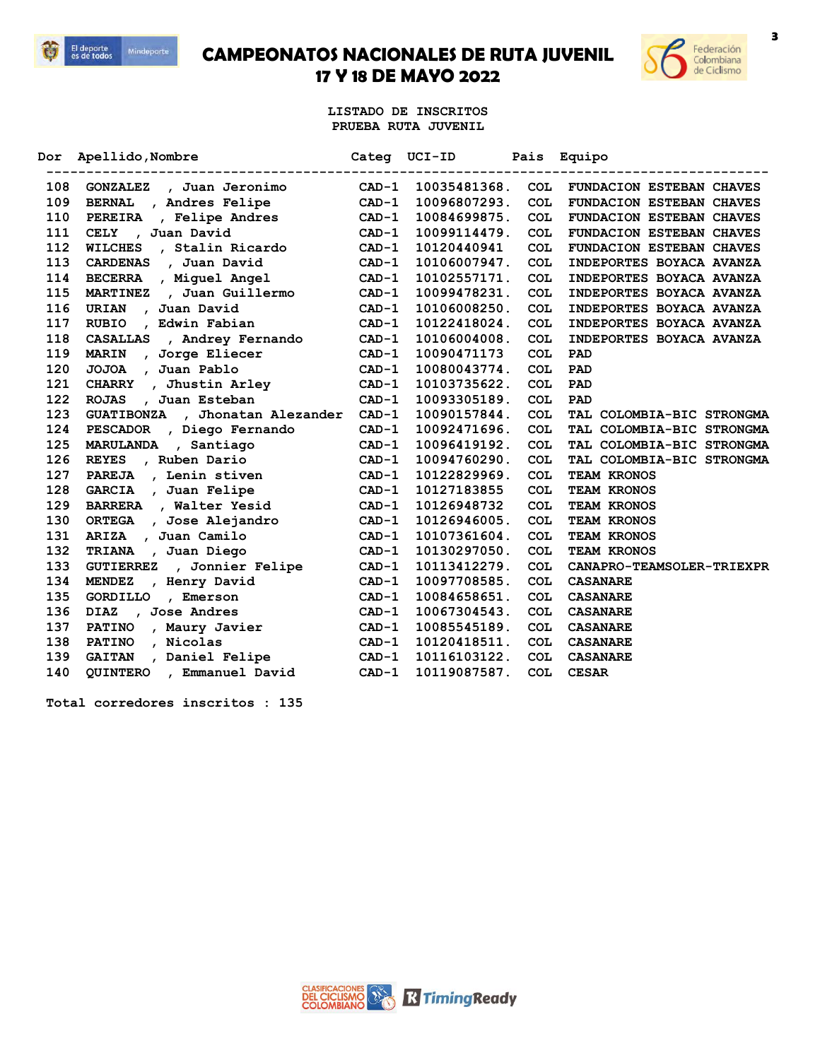



**LISTADO DE INSCRITOS PRUEBA RUTA JUVENIL**

| Dor. | Apellido, Nombre<br>-------------------   |         | Categ UCI-ID | Pais       | Equipo                          |
|------|-------------------------------------------|---------|--------------|------------|---------------------------------|
| 108  | , Juan Jeronimo<br><b>GONZALEZ</b>        | $CAD-1$ | 10035481368. | <b>COL</b> | <b>FUNDACION ESTEBAN CHAVES</b> |
| 109  | <b>BERNAL</b><br>, Andres Felipe          | $CAD-1$ | 10096807293. | <b>COL</b> | <b>FUNDACION ESTEBAN CHAVES</b> |
| 110  | PEREIRA<br>, Felipe Andres                | $CAD-1$ | 10084699875. | <b>COL</b> | FUNDACION ESTEBAN CHAVES        |
| 111  | , Juan David<br><b>CELY</b>               | $CAD-1$ | 10099114479. | <b>COL</b> | FUNDACION ESTEBAN CHAVES        |
| 112  | <b>WILCHES</b><br>, Stalin Ricardo        | $CAD-1$ | 10120440941  | <b>COL</b> | <b>FUNDACION ESTEBAN CHAVES</b> |
| 113  | <b>CARDENAS</b><br>, Juan David           | $CAD-1$ | 10106007947. | <b>COL</b> | INDEPORTES BOYACA AVANZA        |
| 114  | BECERRA , Miguel Angel                    | $CAD-1$ | 10102557171. | COL        | INDEPORTES BOYACA AVANZA        |
| 115  | , Juan Guillermo<br><b>MARTINEZ</b>       | $CAD-1$ | 10099478231. | <b>COL</b> | INDEPORTES BOYACA AVANZA        |
| 116  | , Juan David<br>URIAN                     | $CAD-1$ | 10106008250. | <b>COL</b> | INDEPORTES BOYACA AVANZA        |
| 117  | <b>RUBIO</b><br>, Edwin Fabian            | $CAD-1$ | 10122418024. | <b>COL</b> | INDEPORTES BOYACA AVANZA        |
| 118  | CASALLAS , Andrey Fernando                | $CAD-1$ | 10106004008. | <b>COL</b> | INDEPORTES BOYACA AVANZA        |
| 119  | <b>MARIN</b><br>, Jorge Eliecer           | $CAD-1$ | 10090471173  | <b>COL</b> | PAD                             |
| 120  | , Juan Pablo<br><b>JOJOA</b>              | $CAD-1$ | 10080043774. | <b>COL</b> | PAD                             |
| 121  | , Jhustin Arley<br><b>CHARRY</b>          | $CAD-1$ | 10103735622. | COL        | PAD                             |
| 122  | , Juan Esteban<br><b>ROJAS</b>            | $CAD-1$ | 10093305189. | <b>COL</b> | PAD                             |
| 123  | <b>GUATIBONZA</b><br>, Jhonatan Alezander | $CAD-1$ | 10090157844. | <b>COL</b> | TAL COLOMBIA-BIC STRONGMA       |
| 124  | PESCADOR, Diego Fernando                  | $CAD-1$ | 10092471696. | <b>COL</b> | TAL COLOMBIA-BIC STRONGMA       |
| 125  | MARULANDA , Santiago                      | $CAD-1$ | 10096419192. | <b>COL</b> | TAL COLOMBIA-BIC STRONGMA       |
| 126  | , Ruben Dario<br><b>REYES</b>             | $CAD-1$ | 10094760290. | <b>COL</b> | TAL COLOMBIA-BIC STRONGMA       |
| 127  | , Lenin stiven<br><b>PAREJA</b>           | $CAD-1$ | 10122829969. | COL        | TEAM KRONOS                     |
| 128  | GARCIA , Juan Felipe                      | $CAD-1$ | 10127183855  | COL        | TEAM KRONOS                     |
| 129  | BARRERA , Walter Yesid                    | $CAD-1$ | 10126948732  | <b>COL</b> | TEAM KRONOS                     |
| 130  | <b>ORTEGA</b><br>, Jose Alejandro         | $CAD-1$ | 10126946005. | <b>COL</b> | TEAM KRONOS                     |
| 131  | , Juan Camilo<br>ARIZA                    | $CAD-1$ | 10107361604. | <b>COL</b> | <b>TEAM KRONOS</b>              |
| 132  | <b>TRIANA</b><br>, Juan Diego             | $CAD-1$ | 10130297050. | <b>COL</b> | <b>TEAM KRONOS</b>              |
| 133  | , Jonnier Felipe<br><b>GUTIERREZ</b>      | $CAD-1$ | 10113412279. | <b>COL</b> | CANAPRO-TEAMSOLER-TRIEXPR       |
| 134  | <b>MENDEZ</b><br>, Henry David            | $CAD-1$ | 10097708585. | <b>COL</b> | <b>CASANARE</b>                 |
| 135  | <b>GORDILLO</b><br>, Emerson              | $CAD-1$ | 10084658651. | <b>COL</b> | <b>CASANARE</b>                 |
| 136  | , Jose Andres<br><b>DIAZ</b>              | $CAD-1$ | 10067304543. | <b>COL</b> | <b>CASANARE</b>                 |
| 137  | <b>PATINO</b><br>, Maury Javier           | $CAD-1$ | 10085545189. | COL        | <b>CASANARE</b>                 |
| 138  | , Nicolas<br><b>PATINO</b>                | $CAD-1$ | 10120418511. | <b>COL</b> | <b>CASANARE</b>                 |
| 139  | GAITAN , Daniel Felipe                    | $CAD-1$ | 10116103122. | <b>COL</b> | <b>CASANARE</b>                 |
| 140  | <b>OUINTERO</b><br>, Emmanuel David       | $CAD-1$ | 10119087587. | <b>COL</b> | <b>CESAR</b>                    |

**Total corredores inscritos : 135**